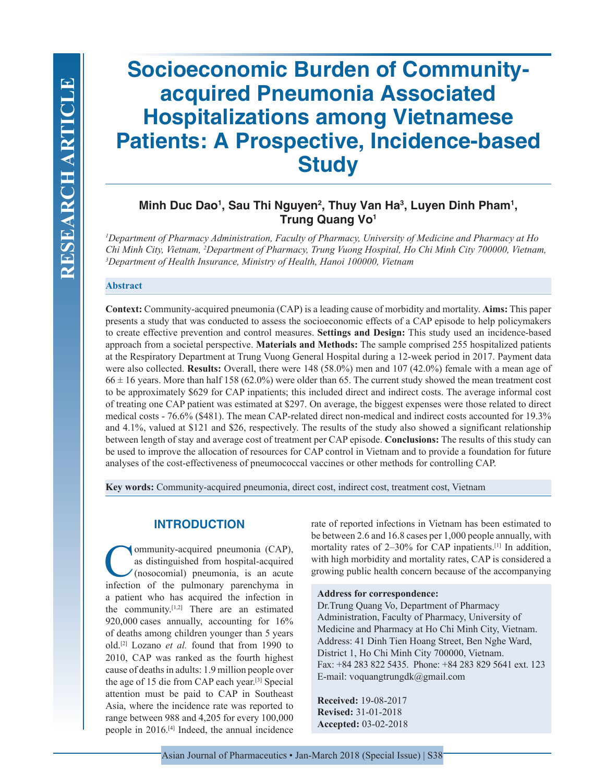# **Socioeconomic Burden of Communityacquired Pneumonia Associated Hospitalizations among Vietnamese Patients: A Prospective, Incidence-based Study**

# **Minh Duc Dao1 , Sau Thi Nguyen2 , Thuy Van Ha3 , Luyen Dinh Pham1 , Trung Quang Vo1**

*1 Department of Pharmacy Administration, Faculty of Pharmacy, University of Medicine and Pharmacy at Ho Chi Minh City, Vietnam, 2 Department of Pharmacy, Trung Vuong Hospital, Ho Chi Minh City 700000, Vietnam, 3 Department of Health Insurance, Ministry of Health, Hanoi 100000, Vietnam*

### **Abstract**

**Context:** Community-acquired pneumonia (CAP) is a leading cause of morbidity and mortality. **Aims:** This paper presents a study that was conducted to assess the socioeconomic effects of a CAP episode to help policymakers to create effective prevention and control measures. **Settings and Design:** This study used an incidence-based approach from a societal perspective. **Materials and Methods:** The sample comprised 255 hospitalized patients at the Respiratory Department at Trung Vuong General Hospital during a 12-week period in 2017. Payment data were also collected. **Results:** Overall, there were 148 (58.0%) men and 107 (42.0%) female with a mean age of  $66 \pm 16$  years. More than half 158 (62.0%) were older than 65. The current study showed the mean treatment cost to be approximately \$629 for CAP inpatients; this included direct and indirect costs. The average informal cost of treating one CAP patient was estimated at \$297. On average, the biggest expenses were those related to direct medical costs - 76.6% (\$481). The mean CAP-related direct non-medical and indirect costs accounted for 19.3% and 4.1%, valued at \$121 and \$26, respectively. The results of the study also showed a significant relationship between length of stay and average cost of treatment per CAP episode. **Conclusions:** The results of this study can be used to improve the allocation of resources for CAP control in Vietnam and to provide a foundation for future analyses of the cost-effectiveness of pneumococcal vaccines or other methods for controlling CAP.

**Key words:** Community-acquired pneumonia, direct cost, indirect cost, treatment cost, Vietnam

# **INTRODUCTION**

Community-acquired pneumonia (CAP), as distinguished from hospital-acquired (nosocomial) pneumonia, is an acute infection of the pulmonary parenchyma in a patient who has acquired the infection in the community.[1,2] There are an estimated 920,000 cases annually, accounting for 16% of deaths among children younger than 5 years old.[2] Lozano *et al.* found that from 1990 to 2010, CAP was ranked as the fourth highest cause of deaths in adults: 1.9 million people over the age of 15 die from CAP each year.[3] Special attention must be paid to CAP in Southeast Asia, where the incidence rate was reported to range between 988 and 4,205 for every 100,000 people in 2016.[4] Indeed, the annual incidence rate of reported infections in Vietnam has been estimated to be between 2.6 and 16.8 cases per 1,000 people annually, with mortality rates of 2–30% for CAP inpatients.<sup>[1]</sup> In addition, with high morbidity and mortality rates, CAP is considered a growing public health concern because of the accompanying

#### **Address for correspondence:**

Dr.Trung Quang Vo, Department of Pharmacy Administration, Faculty of Pharmacy, University of Medicine and Pharmacy at Ho Chi Minh City, Vietnam. Address: 41 Dinh Tien Hoang Street, Ben Nghe Ward, District 1, Ho Chi Minh City 700000, Vietnam. Fax: +84 283 822 5435. Phone: +84 283 829 5641 ext. 123 E-mail: voquangtrungdk@gmail.com

**Received:** 19-08-2017 **Revised:** 31-01-2018 **Accepted:** 03-02-2018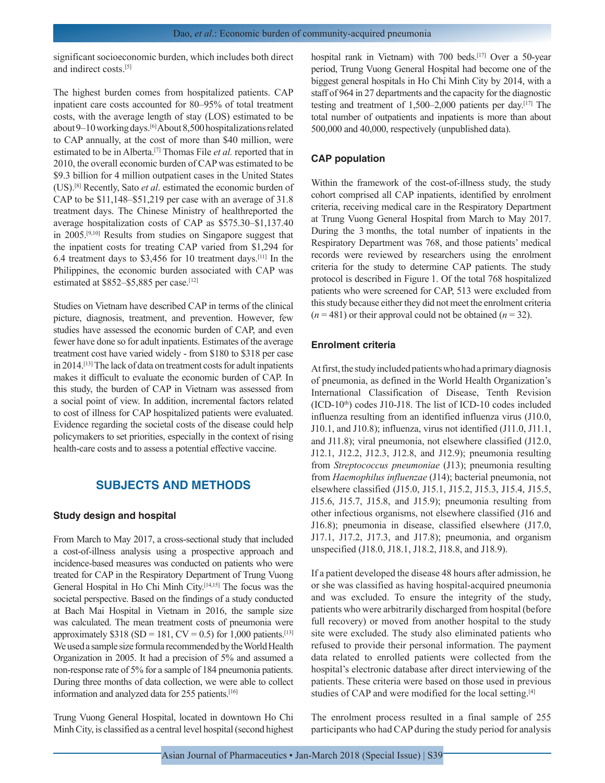significant socioeconomic burden, which includes both direct and indirect costs.[5]

The highest burden comes from hospitalized patients. CAP inpatient care costs accounted for 80–95% of total treatment costs, with the average length of stay (LOS) estimated to be about 9–10 working days.[6] About 8,500 hospitalizations related to CAP annually, at the cost of more than \$40 million, were estimated to be in Alberta.[7] Thomas File *et al.* reported that in 2010, the overall economic burden of CAP was estimated to be \$9.3 billion for 4 million outpatient cases in the United States (US).[8] Recently, Sato *et al*. estimated the economic burden of CAP to be \$11,148–\$51,219 per case with an average of 31.8 treatment days. The Chinese Ministry of healthreported the average hospitalization costs of CAP as \$575.30–\$1,137.40 in 2005.[9,10] Results from studies on Singapore suggest that the inpatient costs for treating CAP varied from \$1,294 for 6.4 treatment days to \$3,456 for 10 treatment days.[11] In the Philippines, the economic burden associated with CAP was estimated at \$852–\$5,885 per case.<sup>[12]</sup>

Studies on Vietnam have described CAP in terms of the clinical picture, diagnosis, treatment, and prevention. However, few studies have assessed the economic burden of CAP, and even fewer have done so for adult inpatients. Estimates of the average treatment cost have varied widely - from \$180 to \$318 per case in 2014.[13] The lack of data on treatment costs for adult inpatients makes it difficult to evaluate the economic burden of CAP. In this study, the burden of CAP in Vietnam was assessed from a social point of view. In addition, incremental factors related to cost of illness for CAP hospitalized patients were evaluated. Evidence regarding the societal costs of the disease could help policymakers to set priorities, especially in the context of rising health-care costs and to assess a potential effective vaccine.

# **SUBJECTS AND METHODS**

#### **Study design and hospital**

From March to May 2017, a cross-sectional study that included a cost-of-illness analysis using a prospective approach and incidence-based measures was conducted on patients who were treated for CAP in the Respiratory Department of Trung Vuong General Hospital in Ho Chi Minh City.[14,15] The focus was the societal perspective. Based on the findings of a study conducted at Bach Mai Hospital in Vietnam in 2016, the sample size was calculated. The mean treatment costs of pneumonia were approximately \$318 (SD = 181, CV = 0.5) for 1,000 patients.<sup>[13]</sup> We used a sample size formula recommended by the World Health Organization in 2005. It had a precision of 5% and assumed a non-response rate of 5% for a sample of 184 pneumonia patients. During three months of data collection, we were able to collect information and analyzed data for 255 patients.[16]

Trung Vuong General Hospital, located in downtown Ho Chi Minh City, is classified as a central level hospital (second highest hospital rank in Vietnam) with 700 beds.<sup>[17]</sup> Over a 50-year period, Trung Vuong General Hospital had become one of the biggest general hospitals in Ho Chi Minh City by 2014, with a staff of 964 in 27 departments and the capacity for the diagnostic testing and treatment of 1,500–2,000 patients per day.[17] The total number of outpatients and inpatients is more than about 500,000 and 40,000, respectively (unpublished data).

## **CAP population**

Within the framework of the cost-of-illness study, the study cohort comprised all CAP inpatients, identified by enrolment criteria, receiving medical care in the Respiratory Department at Trung Vuong General Hospital from March to May 2017. During the 3 months, the total number of inpatients in the Respiratory Department was 768, and those patients' medical records were reviewed by researchers using the enrolment criteria for the study to determine CAP patients. The study protocol is described in Figure 1. Of the total 768 hospitalized patients who were screened for CAP, 513 were excluded from this study because either they did not meet the enrolment criteria  $(n = 481)$  or their approval could not be obtained  $(n = 32)$ .

#### **Enrolment criteria**

At first, the study included patients who had a primary diagnosis of pneumonia, as defined in the World Health Organization's International Classification of Disease, Tenth Revision  $(ICD-10<sup>th</sup>)$  codes J10-J18. The list of ICD-10 codes included influenza resulting from an identified influenza virus (J10.0, J10.1, and J10.8); influenza, virus not identified (J11.0, J11.1, and J11.8); viral pneumonia, not elsewhere classified (J12.0, J12.1, J12.2, J12.3, J12.8, and J12.9); pneumonia resulting from *Streptococcus pneumoniae* (J13); pneumonia resulting from *Haemophilus influenzae* (J14); bacterial pneumonia, not elsewhere classified (J15.0, J15.1, J15.2, J15.3, J15.4, J15.5, J15.6, J15.7, J15.8, and J15.9); pneumonia resulting from other infectious organisms, not elsewhere classified (J16 and J16.8); pneumonia in disease, classified elsewhere (J17.0, J17.1, J17.2, J17.3, and J17.8); pneumonia, and organism unspecified (J18.0, J18.1, J18.2, J18.8, and J18.9).

If a patient developed the disease 48 hours after admission, he or she was classified as having hospital-acquired pneumonia and was excluded. To ensure the integrity of the study, patients who were arbitrarily discharged from hospital (before full recovery) or moved from another hospital to the study site were excluded. The study also eliminated patients who refused to provide their personal information. The payment data related to enrolled patients were collected from the hospital's electronic database after direct interviewing of the patients. These criteria were based on those used in previous studies of CAP and were modified for the local setting.<sup>[4]</sup>

The enrolment process resulted in a final sample of 255 participants who had CAP during the study period for analysis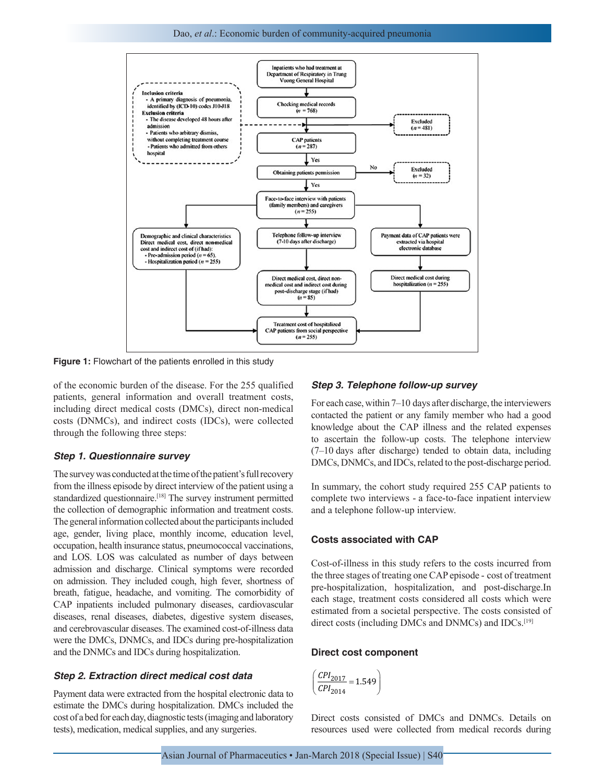Dao, *et al*.: Economic burden of community-acquired pneumonia



**Figure 1:** Flowchart of the patients enrolled in this study

of the economic burden of the disease. For the 255 qualified patients, general information and overall treatment costs, including direct medical costs (DMCs), direct non-medical costs (DNMCs), and indirect costs (IDCs), were collected through the following three steps:

#### *Step 1. Questionnaire survey*

The survey was conducted at the time of the patient's full recovery from the illness episode by direct interview of the patient using a standardized questionnaire.<sup>[18]</sup> The survey instrument permitted the collection of demographic information and treatment costs. The general information collected about the participants included age, gender, living place, monthly income, education level, occupation, health insurance status, pneumococcal vaccinations, and LOS. LOS was calculated as number of days between admission and discharge. Clinical symptoms were recorded on admission. They included cough, high fever, shortness of breath, fatigue, headache, and vomiting. The comorbidity of CAP inpatients included pulmonary diseases, cardiovascular diseases, renal diseases, diabetes, digestive system diseases, and cerebrovascular diseases. The examined cost-of-illness data were the DMCs, DNMCs, and IDCs during pre-hospitalization and the DNMCs and IDCs during hospitalization.

#### *Step 2. Extraction direct medical cost data*

Payment data were extracted from the hospital electronic data to estimate the DMCs during hospitalization. DMCs included the cost of a bed for each day, diagnostic tests (imaging and laboratory tests), medication, medical supplies, and any surgeries.

#### *Step 3. Telephone follow-up survey*

For each case, within 7–10 days after discharge, the interviewers contacted the patient or any family member who had a good knowledge about the CAP illness and the related expenses to ascertain the follow-up costs. The telephone interview (7–10 days after discharge) tended to obtain data, including DMCs, DNMCs, and IDCs, related to the post-discharge period.

In summary, the cohort study required 255 CAP patients to complete two interviews - a face-to-face inpatient interview and a telephone follow-up interview.

# **Costs associated with CAP**

Cost-of-illness in this study refers to the costs incurred from the three stages of treating one CAP episode - cost of treatment pre-hospitalization, hospitalization, and post-discharge.In each stage, treatment costs considered all costs which were estimated from a societal perspective. The costs consisted of direct costs (including DMCs and DNMCs) and IDCs.[19]

# **Direct cost component**

$$
\left(\frac{CPI_{2017}}{CPI_{2014}} = 1.549\right)
$$

Direct costs consisted of DMCs and DNMCs. Details on resources used were collected from medical records during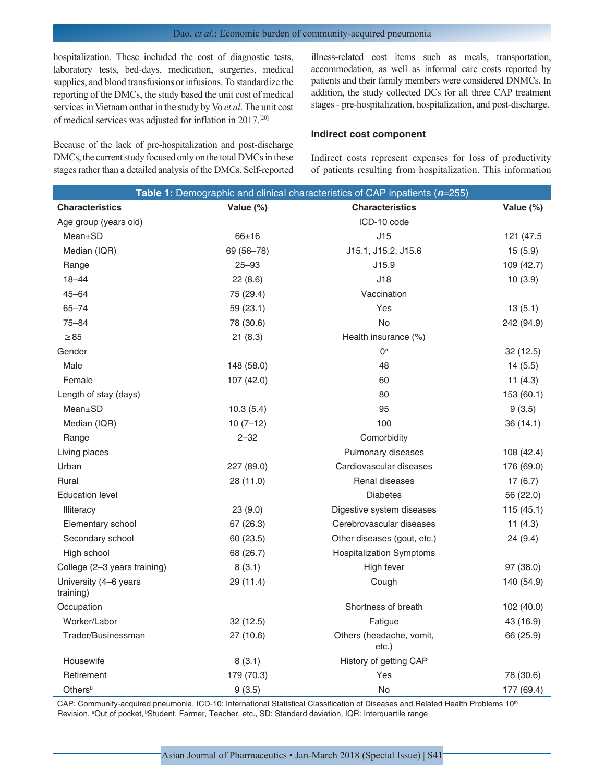# Dao, *et al*.: Economic burden of community-acquired pneumonia

hospitalization. These included the cost of diagnostic tests, laboratory tests, bed-days, medication, surgeries, medical supplies, and blood transfusions or infusions. To standardize the reporting of the DMCs, the study based the unit cost of medical services in Vietnam onthat in the study by Vo *et al*. The unit cost of medical services was adjusted for inflation in 2017.[20]

Because of the lack of pre-hospitalization and post-discharge DMCs, the current study focused only on the total DMCs in these stages rather than a detailed analysis of the DMCs. Self-reported illness-related cost items such as meals, transportation, accommodation, as well as informal care costs reported by patients and their family members were considered DNMCs. In addition, the study collected DCs for all three CAP treatment stages - pre-hospitalization, hospitalization, and post-discharge.

#### **Indirect cost component**

Indirect costs represent expenses for loss of productivity of patients resulting from hospitalization. This information

| Table 1: Demographic and clinical characteristics of CAP inpatients (n=255) |            |                                   |              |
|-----------------------------------------------------------------------------|------------|-----------------------------------|--------------|
| <b>Characteristics</b>                                                      | Value (%)  | <b>Characteristics</b>            | Value $(\%)$ |
| Age group (years old)                                                       |            | ICD-10 code                       |              |
| Mean±SD                                                                     | $66 + 16$  | J15                               | 121 (47.5    |
| Median (IQR)                                                                | 69 (56-78) | J15.1, J15.2, J15.6               | 15(5.9)      |
| Range                                                                       | $25 - 93$  | J15.9                             | 109 (42.7)   |
| $18 - 44$                                                                   | 22(8.6)    | J18                               | 10(3.9)      |
| $45 - 64$                                                                   | 75 (29.4)  | Vaccination                       |              |
| $65 - 74$                                                                   | 59 (23.1)  | Yes                               | 13(5.1)      |
| $75 - 84$                                                                   | 78 (30.6)  | <b>No</b>                         | 242 (94.9)   |
| $\geq 85$                                                                   | 21(8.3)    | Health insurance (%)              |              |
| Gender                                                                      |            | 0 <sup>a</sup>                    | 32 (12.5)    |
| Male                                                                        | 148 (58.0) | 48                                | 14(5.5)      |
| Female                                                                      | 107 (42.0) | 60                                | 11 $(4.3)$   |
| Length of stay (days)                                                       |            | 80                                | 153 (60.1)   |
| Mean±SD                                                                     | 10.3(5.4)  | 95                                | 9(3.5)       |
| Median (IQR)                                                                | $10(7-12)$ | 100                               | 36(14.1)     |
| Range                                                                       | $2 - 32$   | Comorbidity                       |              |
| Living places                                                               |            | Pulmonary diseases                | 108 (42.4)   |
| Urban                                                                       | 227 (89.0) | Cardiovascular diseases           | 176 (69.0)   |
| Rural                                                                       | 28 (11.0)  | Renal diseases                    | 17(6.7)      |
| <b>Education level</b>                                                      |            | <b>Diabetes</b>                   | 56 (22.0)    |
| Illiteracy                                                                  | 23(9.0)    | Digestive system diseases         | 115 (45.1)   |
| Elementary school                                                           | 67 (26.3)  | Cerebrovascular diseases          | 11(4.3)      |
| Secondary school                                                            | 60 (23.5)  | Other diseases (gout, etc.)       | 24 (9.4)     |
| High school                                                                 | 68 (26.7)  | <b>Hospitalization Symptoms</b>   |              |
| College (2-3 years training)                                                | 8(3.1)     | High fever                        | 97 (38.0)    |
| University (4-6 years<br>training)                                          | 29 (11.4)  | Cough                             | 140 (54.9)   |
| Occupation                                                                  |            | Shortness of breath               | 102 (40.0)   |
| Worker/Labor                                                                | 32(12.5)   | Fatigue                           | 43 (16.9)    |
| Trader/Businessman                                                          | 27 (10.6)  | Others (headache, vomit,<br>etc.) | 66 (25.9)    |
| Housewife                                                                   | 8(3.1)     | History of getting CAP            |              |
| Retirement                                                                  | 179 (70.3) | Yes                               | 78 (30.6)    |
| Others <sup>b</sup>                                                         | 9(3.5)     | No                                | 177 (69.4)   |

CAP: Community-acquired pneumonia, ICD-10: International Statistical Classification of Diseases and Related Health Problems 10<sup>th</sup> Revision. <sup>a</sup>Out of pocket, <sup>b</sup>Student, Farmer, Teacher, etc., SD: Standard deviation, IQR: Interquartile range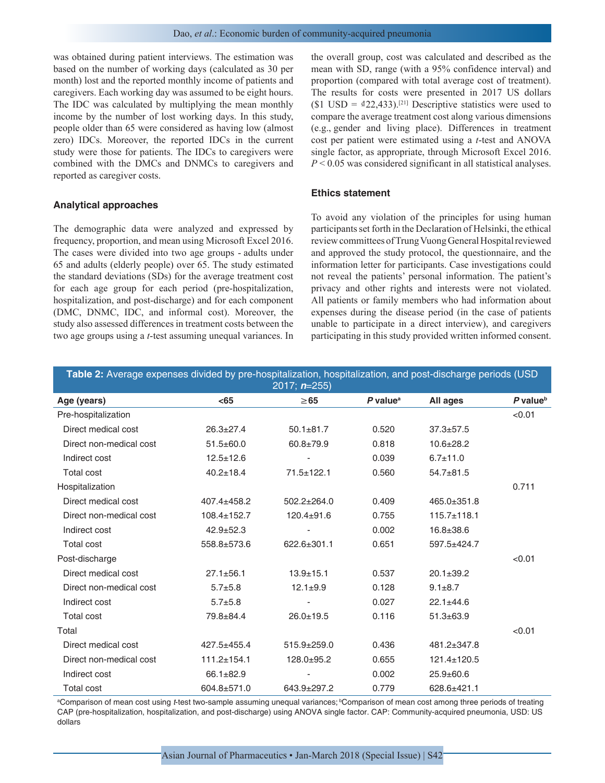was obtained during patient interviews. The estimation was based on the number of working days (calculated as 30 per month) lost and the reported monthly income of patients and caregivers. Each working day was assumed to be eight hours. The IDC was calculated by multiplying the mean monthly income by the number of lost working days. In this study, people older than 65 were considered as having low (almost zero) IDCs. Moreover, the reported IDCs in the current study were those for patients. The IDCs to caregivers were combined with the DMCs and DNMCs to caregivers and reported as caregiver costs.

#### **Analytical approaches**

The demographic data were analyzed and expressed by frequency, proportion, and mean using Microsoft Excel 2016. The cases were divided into two age groups - adults under 65 and adults (elderly people) over 65. The study estimated the standard deviations (SDs) for the average treatment cost for each age group for each period (pre-hospitalization, hospitalization, and post-discharge) and for each component (DMC, DNMC, IDC, and informal cost). Moreover, the study also assessed differences in treatment costs between the two age groups using a *t*-test assuming unequal variances. In the overall group, cost was calculated and described as the mean with SD, range (with a 95% confidence interval) and proportion (compared with total average cost of treatment). The results for costs were presented in 2017 US dollars (\$1 USD =  $\frac{d}{22,433}$ ).<sup>[21]</sup> Descriptive statistics were used to compare the average treatment cost along various dimensions (e.g., gender and living place). Differences in treatment cost per patient were estimated using a *t*-test and ANOVA single factor, as appropriate, through Microsoft Excel 2016. *P* < 0.05 was considered significant in all statistical analyses.

### **Ethics statement**

To avoid any violation of the principles for using human participants set forth in the Declaration of Helsinki, the ethical review committees of Trung Vuong General Hospital reviewed and approved the study protocol, the questionnaire, and the information letter for participants. Case investigations could not reveal the patients' personal information. The patient's privacy and other rights and interests were not violated. All patients or family members who had information about expenses during the disease period (in the case of patients unable to participate in a direct interview), and caregivers participating in this study provided written informed consent.

| Table 2: Average expenses divided by pre-hospitalization, hospitalization, and post-discharge periods (USD |                   |                   |                        |                   |                        |
|------------------------------------------------------------------------------------------------------------|-------------------|-------------------|------------------------|-------------------|------------------------|
| 2017; $n=255$ )                                                                                            |                   |                   |                        |                   |                        |
| Age (years)                                                                                                | $65$              | $\geq 65$         | $P$ value <sup>a</sup> | All ages          | $P$ value <sup>b</sup> |
| Pre-hospitalization                                                                                        |                   |                   |                        |                   | < 0.01                 |
| Direct medical cost                                                                                        | $26.3 \pm 27.4$   | $50.1 \pm 81.7$   | 0.520                  | $37.3 \pm 57.5$   |                        |
| Direct non-medical cost                                                                                    | $51.5 \pm 60.0$   | $60.8 + 79.9$     | 0.818                  | $10.6 \pm 28.2$   |                        |
| Indirect cost                                                                                              | $12.5 \pm 12.6$   |                   | 0.039                  | $6.7 \pm 11.0$    |                        |
| <b>Total cost</b>                                                                                          | $40.2 \pm 18.4$   | $71.5 \pm 122.1$  | 0.560                  | $54.7 + 81.5$     |                        |
| Hospitalization                                                                                            |                   |                   |                        |                   | 0.711                  |
| Direct medical cost                                                                                        | 407.4±458.2       | $502.2 + 264.0$   | 0.409                  | 465.0±351.8       |                        |
| Direct non-medical cost                                                                                    | $108.4 \pm 152.7$ | $120.4 \pm 91.6$  | 0.755                  | $115.7 \pm 118.1$ |                        |
| Indirect cost                                                                                              | $42.9 \pm 52.3$   |                   | 0.002                  | $16.8 \pm 38.6$   |                        |
| <b>Total cost</b>                                                                                          | 558.8±573.6       | $622.6 \pm 301.1$ | 0.651                  | 597.5±424.7       |                        |
| Post-discharge                                                                                             |                   |                   |                        |                   | < 0.01                 |
| Direct medical cost                                                                                        | $27.1 \pm 56.1$   | $13.9 + 15.1$     | 0.537                  | $20.1 \pm 39.2$   |                        |
| Direct non-medical cost                                                                                    | $5.7 + 5.8$       | $12.1 \pm 9.9$    | 0.128                  | $9.1 \pm 8.7$     |                        |
| Indirect cost                                                                                              | $5.7 + 5.8$       |                   | 0.027                  | $22.1 \pm 44.6$   |                        |
| <b>Total cost</b>                                                                                          | 79.8±84.4         | $26.0 + 19.5$     | 0.116                  | $51.3 \pm 63.9$   |                        |
| Total                                                                                                      |                   |                   |                        |                   | < 0.01                 |
| Direct medical cost                                                                                        | $427.5 + 455.4$   | $515.9 \pm 259.0$ | 0.436                  | 481.2±347.8       |                        |
| Direct non-medical cost                                                                                    | 111.2±154.1       | $128.0+95.2$      | 0.655                  | $121.4 \pm 120.5$ |                        |
| Indirect cost                                                                                              | $66.1 \pm 82.9$   |                   | 0.002                  | $25.9 \pm 60.6$   |                        |
| <b>Total cost</b>                                                                                          | 604.8±571.0       | 643.9±297.2       | 0.779                  | 628.6±421.1       |                        |

a Comparison of mean cost using *t*‑test two‑sample assuming unequal variances; bComparison of mean cost among three periods of treating CAP (pre-hospitalization, hospitalization, and post-discharge) using ANOVA single factor. CAP: Community-acquired pneumonia, USD: US dollars

Asian Journal of Pharmaceutics • Jan-March 2018 (Special Issue) | S42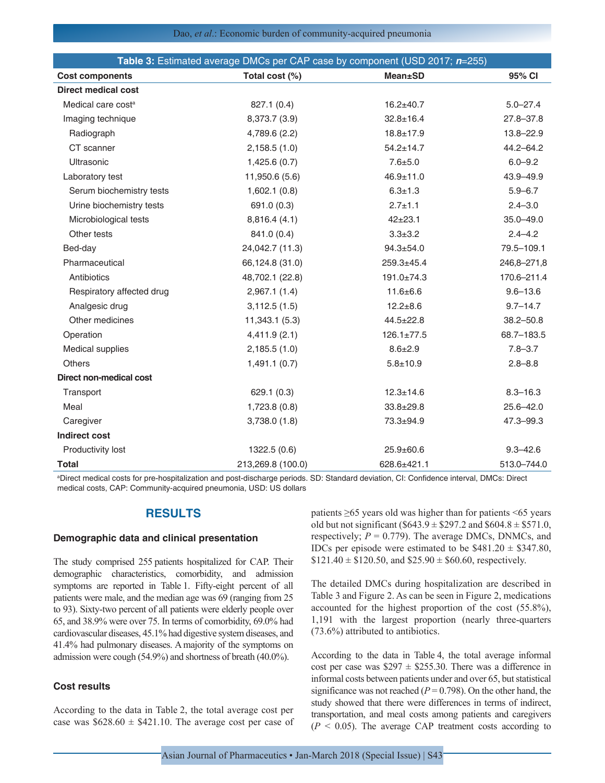|                                | Table 3: Estimated average DMCs per CAP case by component (USD 2017; n=255) |                  |               |
|--------------------------------|-----------------------------------------------------------------------------|------------------|---------------|
| <b>Cost components</b>         | Total cost (%)                                                              | <b>Mean±SD</b>   | 95% CI        |
| Direct medical cost            |                                                                             |                  |               |
| Medical care cost <sup>a</sup> | 827.1 (0.4)                                                                 | $16.2 + 40.7$    | $5.0 - 27.4$  |
| Imaging technique              | 8,373.7 (3.9)                                                               | $32.8 \pm 16.4$  | $27.8 - 37.8$ |
| Radiograph                     | 4,789.6 (2.2)                                                               | $18.8 \pm 17.9$  | 13.8-22.9     |
| CT scanner                     | 2,158.5(1.0)                                                                | $54.2 \pm 14.7$  | 44.2-64.2     |
| Ultrasonic                     | 1,425.6(0.7)                                                                | $7.6 + 5.0$      | $6.0 - 9.2$   |
| Laboratory test                | 11,950.6 (5.6)                                                              | $46.9 \pm 11.0$  | 43.9-49.9     |
| Serum biochemistry tests       | 1,602.1(0.8)                                                                | $6.3 \pm 1.3$    | $5.9 - 6.7$   |
| Urine biochemistry tests       | 691.0 (0.3)                                                                 | $2.7 + 1.1$      | $2.4 - 3.0$   |
| Microbiological tests          | 8,816.4 (4.1)                                                               | $42+23.1$        | $35.0 - 49.0$ |
| Other tests                    | 841.0 (0.4)                                                                 | $3.3 \pm 3.2$    | $2.4 - 4.2$   |
| Bed-day                        | 24,042.7 (11.3)                                                             | $94.3 \pm 54.0$  | 79.5-109.1    |
| Pharmaceutical                 | 66,124.8 (31.0)                                                             | $259.3 + 45.4$   | 246,8-271,8   |
| Antibiotics                    | 48,702.1 (22.8)                                                             | $191.0 \pm 74.3$ | 170.6-211.4   |
| Respiratory affected drug      | 2,967.1(1.4)                                                                | $11.6 \pm 6.6$   | $9.6 - 13.6$  |
| Analgesic drug                 | 3,112.5(1.5)                                                                | $12.2 + 8.6$     | $9.7 - 14.7$  |
| Other medicines                | 11,343.1 (5.3)                                                              | $44.5 \pm 22.8$  | $38.2 - 50.8$ |
| Operation                      | 4,411.9(2.1)                                                                | $126.1 \pm 77.5$ | 68.7-183.5    |
| Medical supplies               | 2,185.5(1.0)                                                                | $8.6 \pm 2.9$    | $7.8 - 3.7$   |
| <b>Others</b>                  | 1,491.1(0.7)                                                                | $5.8 + 10.9$     | $2.8 - 8.8$   |
| Direct non-medical cost        |                                                                             |                  |               |
| Transport                      | 629.1 (0.3)                                                                 | $12.3 \pm 14.6$  | $8.3 - 16.3$  |
| Meal                           | 1,723.8(0.8)                                                                | $33.8 \pm 29.8$  | $25.6 - 42.0$ |
| Caregiver                      | 3,738.0(1.8)                                                                | 73.3±94.9        | 47.3-99.3     |
| Indirect cost                  |                                                                             |                  |               |
| Productivity lost              | 1322.5 (0.6)                                                                | $25.9 \pm 60.6$  | $9.3 - 42.6$  |
| <b>Total</b>                   | 213,269.8 (100.0)                                                           | 628.6±421.1      | 513.0-744.0   |

a Direct medical costs for pre‑hospitalization and post‑discharge periods. SD: Standard deviation, CI: Confidence interval, DMCs: Direct medical costs, CAP: Community‑acquired pneumonia, USD: US dollars

# **RESULTS**

# **Demographic data and clinical presentation**

The study comprised 255 patients hospitalized for CAP. Their demographic characteristics, comorbidity, and admission symptoms are reported in Table 1. Fifty-eight percent of all patients were male, and the median age was 69 (ranging from 25 to 93). Sixty-two percent of all patients were elderly people over 65, and 38.9% were over 75. In terms of comorbidity, 69.0% had cardiovascular diseases, 45.1% had digestive system diseases, and 41.4% had pulmonary diseases. Amajority of the symptoms on admission were cough (54.9%) and shortness of breath (40.0%).

## **Cost results**

According to the data in Table 2, the total average cost per case was  $$628.60 \pm $421.10$ . The average cost per case of patients ≥65 years old was higher than for patients <65 years old but not significant (\$643.9  $\pm$  \$297.2 and \$604.8  $\pm$  \$571.0, respectively;  $P = 0.779$ ). The average DMCs, DNMCs, and IDCs per episode were estimated to be  $$481.20 \pm $347.80$ ,  $$121.40 \pm $120.50$ , and  $$25.90 \pm $60.60$ , respectively.

The detailed DMCs during hospitalization are described in Table 3 and Figure 2. As can be seen in Figure 2, medications accounted for the highest proportion of the cost (55.8%), 1,191 with the largest proportion (nearly three-quarters (73.6%) attributed to antibiotics.

According to the data in Table 4, the total average informal cost per case was  $$297 \pm $255.30$ . There was a difference in informal costs between patients under and over 65, but statistical significance was not reached ( $P = 0.798$ ). On the other hand, the study showed that there were differences in terms of indirect, transportation, and meal costs among patients and caregivers  $(P < 0.05)$ . The average CAP treatment costs according to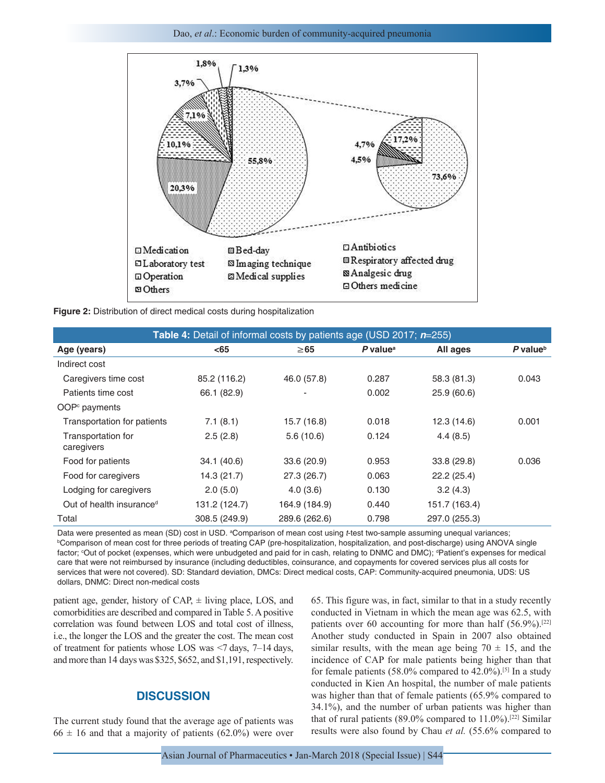Dao, *et al*.: Economic burden of community-acquired pneumonia



**Figure 2:** Distribution of direct medical costs during hospitalization

| <b>Table 4:</b> Detail of informal costs by patients age (USD 2017; n=255) |               |               |                        |               |                        |
|----------------------------------------------------------------------------|---------------|---------------|------------------------|---------------|------------------------|
| Age (years)                                                                | $65$          | $\geq$ 65     | $P$ value <sup>a</sup> | All ages      | $P$ value <sup>b</sup> |
| Indirect cost                                                              |               |               |                        |               |                        |
| Caregivers time cost                                                       | 85.2 (116.2)  | 46.0 (57.8)   | 0.287                  | 58.3 (81.3)   | 0.043                  |
| Patients time cost                                                         | 66.1 (82.9)   |               | 0.002                  | 25.9 (60.6)   |                        |
| OOP <sup>c</sup> payments                                                  |               |               |                        |               |                        |
| Transportation for patients                                                | 7.1(8.1)      | 15.7 (16.8)   | 0.018                  | 12.3(14.6)    | 0.001                  |
| Transportation for<br>caregivers                                           | 2.5(2.8)      | 5.6(10.6)     | 0.124                  | 4.4(8.5)      |                        |
| Food for patients                                                          | 34.1 (40.6)   | 33.6 (20.9)   | 0.953                  | 33.8 (29.8)   | 0.036                  |
| Food for caregivers                                                        | 14.3 (21.7)   | 27.3 (26.7)   | 0.063                  | 22.2(25.4)    |                        |
| Lodging for caregivers                                                     | 2.0(5.0)      | 4.0(3.6)      | 0.130                  | 3.2(4.3)      |                        |
| Out of health insurance <sup>d</sup>                                       | 131.2 (124.7) | 164.9 (184.9) | 0.440                  | 151.7 (163.4) |                        |
| Total                                                                      | 308.5 (249.9) | 289.6 (262.6) | 0.798                  | 297.0 (255.3) |                        |

Data were presented as mean (SD) cost in USD. <sup>a</sup>Comparison of mean cost using t-test two-sample assuming unequal variances; Data were presented as mean (SD) cost in USD. ªComparison of mean cost using *t*-test two-sample assuming unequal variances;<br><sup>b</sup>Comparison of mean cost for three periods of treating CAP (pre-hospitalization, hospitalizatio factor; <sup>c</sup>Out of pocket (expenses, which were unbudgeted and paid for in cash, relating to DNMC and DMC); <sup>a</sup>Patient's expenses for medical care that were not reimbursed by insurance (including deductibles, coinsurance, and copayments for covered services plus all costs for services that were not covered). SD: Standard deviation, DMCs: Direct medical costs, CAP: Community-acquired pneumonia, UDS: US dollars, DNMC: Direct non‑medical costs

patient age, gender, history of  $CAP$ ,  $\pm$  living place, LOS, and comorbidities are described and compared in Table 5. A positive correlation was found between LOS and total cost of illness, i.e., the longer the LOS and the greater the cost. The mean cost of treatment for patients whose LOS was <7 days, 7–14 days, and more than 14 days was \$325, \$652, and \$1,191, respectively.

# **DISCUSSION**

The current study found that the average age of patients was  $66 \pm 16$  and that a majority of patients (62.0%) were over 65. This figure was, in fact, similar to that in a study recently conducted in Vietnam in which the mean age was 62.5, with patients over 60 accounting for more than half  $(56.9\%)$ .<sup>[22]</sup> Another study conducted in Spain in 2007 also obtained similar results, with the mean age being  $70 \pm 15$ , and the incidence of CAP for male patients being higher than that for female patients (58.0% compared to 42.0%).[5] In a study conducted in Kien An hospital, the number of male patients was higher than that of female patients (65.9% compared to 34.1%), and the number of urban patients was higher than that of rural patients (89.0% compared to  $11.0\%$ ).<sup>[22]</sup> Similar results were also found by Chau *et al.* (55.6% compared to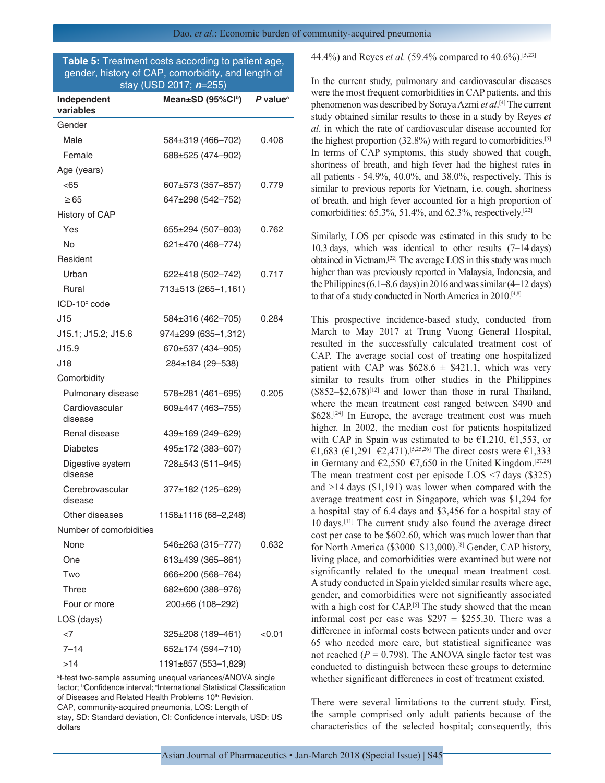# **Table 5:** Treatment costs according to patient age, gender, history of CAP, comorbidity, and length of stay (USD 2017; *n*=255)

| Independent<br>variables    | Mean±SD (95%Cl <sup>b</sup> ) | $P$ value <sup>a</sup> |
|-----------------------------|-------------------------------|------------------------|
| Gender                      |                               |                        |
| Male                        | 584±319 (466–702)             | 0.408                  |
| Female                      | 688±525 (474–902)             |                        |
| Age (years)                 |                               |                        |
| < 65                        | 607±573 (357–857)             | 0.779                  |
| $\geq 65$                   | 647±298 (542-752)             |                        |
| History of CAP              |                               |                        |
| Yes                         | 655±294 (507–803)             | 0.762                  |
| No                          | 621±470 (468–774)             |                        |
| Resident                    |                               |                        |
| Urban                       | 622±418 (502-742)             | 0.717                  |
| Rural                       | 713±513 (265-1,161)           |                        |
| $ICD-10°$ code              |                               |                        |
| J15                         | 584±316 (462–705)             | 0.284                  |
| J15.1; J15.2; J15.6         | $974\pm 299$ (635-1,312)      |                        |
| J15.9                       | 670±537 (434–905)             |                        |
| J18                         | 284±184 (29-538)              |                        |
| Comorbidity                 |                               |                        |
| Pulmonary disease           | 578±281 (461–695)             | 0.205                  |
| Cardiovascular<br>disease   | 609±447 (463-755)             |                        |
| Renal disease               | 439±169 (249–629)             |                        |
| <b>Diabetes</b>             | 495±172 (383-607)             |                        |
| Digestive system<br>disease | 728±543 (511-945)             |                        |
| Cerebrovascular<br>disease  | 377±182 (125-629)             |                        |
| Other diseases              | 1158±1116 (68–2,248)          |                        |
| Number of comorbidities     |                               |                        |
| None                        | 546±263 (315-777)             | 0.632                  |
| One                         | 613±439 (365-861)             |                        |
| Two                         | 666±200 (568-764)             |                        |
| Three                       | 682±600 (388–976)             |                        |
| Four or more                | 200±66 (108–292)              |                        |
| LOS (days)                  |                               |                        |
| $<$ 7                       | 325±208 (189–461)             | <0.01                  |
| $7 - 14$                    | 652±174 (594–710)             |                        |
| >14                         | 1191±857 (553–1,829)          |                        |

<sup>a</sup>t-test two-sample assuming unequal variances/ANOVA single factor; <sup>b</sup>Confidence interval; <sup>c</sup>International Statistical Classification of Diseases and Related Health Problems 10<sup>th</sup> Revision. CAP, community‑acquired pneumonia, LOS: Length of stay, SD: Standard deviation, CI: Confidence intervals, USD: US dollars

44.4%) and Reyes *et al.* (59.4% compared to 40.6%).[5,23]

In the current study, pulmonary and cardiovascular diseases were the most frequent comorbidities in CAP patients, and this phenomenon was described by Soraya Azmi *et al*. [4] The current study obtained similar results to those in a study by Reyes *et al*. in which the rate of cardiovascular disease accounted for the highest proportion  $(32.8\%)$  with regard to comorbidities.<sup>[5]</sup> In terms of CAP symptoms, this study showed that cough, shortness of breath, and high fever had the highest rates in all patients  $-54.9\%$ ,  $40.0\%$ , and  $38.0\%$ , respectively. This is similar to previous reports for Vietnam, i.e. cough, shortness of breath, and high fever accounted for a high proportion of comorbidities:  $65.3\%$ ,  $51.4\%$ , and  $62.3\%$ , respectively.<sup>[22]</sup>

Similarly, LOS per episode was estimated in this study to be 10.3 days, which was identical to other results (7–14 days) obtained in Vietnam.[22] The average LOS in this study was much higher than was previously reported in Malaysia, Indonesia, and the Philippines  $(6.1–8.6$  days) in 2016 and was similar  $(4–12$  days) to that of a study conducted in North America in 2010.[4,8]

This prospective incidence-based study, conducted from March to May 2017 at Trung Vuong General Hospital, resulted in the successfully calculated treatment cost of CAP. The average social cost of treating one hospitalized patient with CAP was  $$628.6 \pm $421.1$ , which was very similar to results from other studies in the Philippines  $($852-$2,678)^{[12]}$  and lower than those in rural Thailand, where the mean treatment cost ranged between \$490 and \$628.<sup>[24]</sup> In Europe, the average treatment cost was much higher. In 2002, the median cost for patients hospitalized with CAP in Spain was estimated to be  $\epsilon$ 1,210,  $\epsilon$ 1,553, or €1,683 (€1,291–€2,471).<sup>[5,25,26]</sup> The direct costs were €1,333 in Germany and  $\epsilon$ 2,550– $\epsilon$ 7,650 in the United Kingdom.<sup>[27,28]</sup> The mean treatment cost per episode LOS  $\leq$ 7 days (\$325) and >14 days (\$1,191) was lower when compared with the average treatment cost in Singapore, which was \$1,294 for a hospital stay of 6.4 days and \$3,456 for a hospital stay of 10 days.[11] The current study also found the average direct cost per case to be \$602.60, which was much lower than that for North America (\$3000–\$13,000).[8] Gender, CAP history, living place, and comorbidities were examined but were not significantly related to the unequal mean treatment cost. A study conducted in Spain yielded similar results where age, gender, and comorbidities were not significantly associated with a high cost for CAP.<sup>[5]</sup> The study showed that the mean informal cost per case was  $$297 \pm $255.30$ . There was a difference in informal costs between patients under and over 65 who needed more care, but statistical significance was not reached  $(P = 0.798)$ . The ANOVA single factor test was conducted to distinguish between these groups to determine whether significant differences in cost of treatment existed.

There were several limitations to the current study. First, the sample comprised only adult patients because of the characteristics of the selected hospital; consequently, this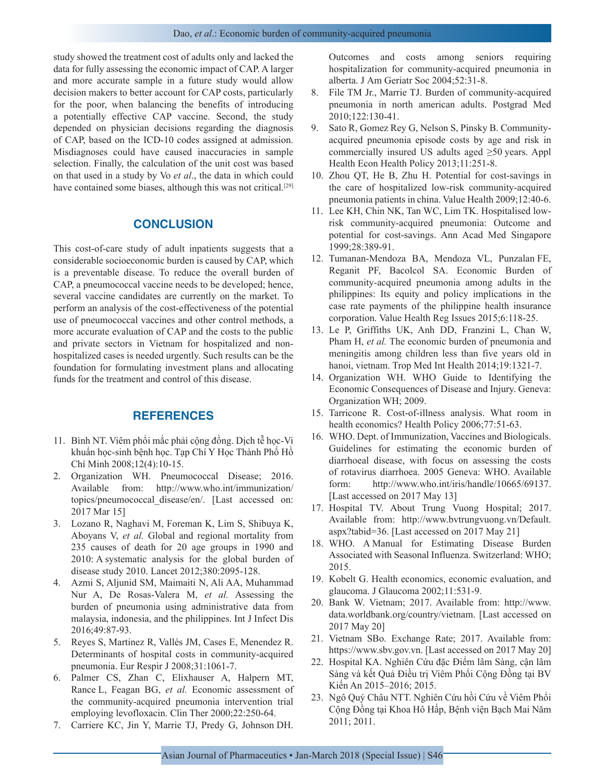study showed the treatment cost of adults only and lacked the data for fully assessing the economic impact of CAP. A larger and more accurate sample in a future study would allow decision makers to better account for CAP costs, particularly for the poor, when balancing the benefits of introducing a potentially effective CAP vaccine. Second, the study depended on physician decisions regarding the diagnosis of CAP, based on the ICD-10 codes assigned at admission. Misdiagnoses could have caused inaccuracies in sample selection. Finally, the calculation of the unit cost was based on that used in a study by Vo *et al*., the data in which could have contained some biases, although this was not critical.<sup>[29]</sup>

# **CONCLUSION**

This cost-of-care study of adult inpatients suggests that a considerable socioeconomic burden is caused by CAP, which is a preventable disease. To reduce the overall burden of CAP, a pneumococcal vaccine needs to be developed; hence, several vaccine candidates are currently on the market. To perform an analysis of the cost-effectiveness of the potential use of pneumococcal vaccines and other control methods, a more accurate evaluation of CAP and the costs to the public and private sectors in Vietnam for hospitalized and nonhospitalized cases is needed urgently. Such results can be the foundation for formulating investment plans and allocating funds for the treatment and control of this disease.

# **REFERENCES**

- 11. Bình NT. Viêm phổi mắc phải cộng đồng. Dịch tễ học-Vi khuẩn học-sinh bệnh học. Tạp Chí Y Học Thành Phố Hồ Chí Minh 2008;12(4):10-15.
- 2. Organization WH. Pneumococcal Disease; 2016. Available from: http://www.who.int/immunization/ topics/pneumococcal\_disease/en/. [Last accessed on: 2017 Mar 15]
- 3. Lozano R, Naghavi M, Foreman K, Lim S, Shibuya K, Aboyans V, *et al.* Global and regional mortality from 235 causes of death for 20 age groups in 1990 and 2010: A systematic analysis for the global burden of disease study 2010. Lancet 2012;380:2095-128.
- 4. Azmi S, Aljunid SM, Maimaiti N, Ali AA, Muhammad Nur A, De Rosas-Valera M, *et al.* Assessing the burden of pneumonia using administrative data from malaysia, indonesia, and the philippines. Int J Infect Dis 2016;49:87-93.
- 5. Reyes S, Martinez R, Vallés JM, Cases E, Menendez R. Determinants of hospital costs in community-acquired pneumonia. Eur Respir J 2008;31:1061-7.
- 6. Palmer CS, Zhan C, Elixhauser A, Halpern MT, Rance L, Feagan BG, *et al.* Economic assessment of the community-acquired pneumonia intervention trial employing levofloxacin. Clin Ther 2000;22:250-64.
- 7. Carriere KC, Jin Y, Marrie TJ, Predy G, Johnson DH.

Outcomes and costs among seniors requiring hospitalization for community-acquired pneumonia in alberta. J Am Geriatr Soc 2004;52:31-8.

- 8. File TM Jr., Marrie TJ. Burden of community-acquired pneumonia in north american adults. Postgrad Med 2010;122:130-41.
- 9. Sato R, Gomez Rey G, Nelson S, Pinsky B. Communityacquired pneumonia episode costs by age and risk in commercially insured US adults aged ≥50 years. Appl Health Econ Health Policy 2013;11:251-8.
- 10. Zhou QT, He B, Zhu H. Potential for cost-savings in the care of hospitalized low-risk community-acquired pneumonia patients in china. Value Health 2009;12:40-6.
- 11. Lee KH, Chin NK, Tan WC, Lim TK. Hospitalised lowrisk community-acquired pneumonia: Outcome and potential for cost-savings. Ann Acad Med Singapore 1999;28:389-91.
- 12. Tumanan-Mendoza BA, Mendoza VL, Punzalan FE, Reganit PF, Bacolcol SA. Economic Burden of community-acquired pneumonia among adults in the philippines: Its equity and policy implications in the case rate payments of the philippine health insurance corporation. Value Health Reg Issues 2015;6:118-25.
- 13. Le P, Griffiths UK, Anh DD, Franzini L, Chan W, Pham H, *et al.* The economic burden of pneumonia and meningitis among children less than five years old in hanoi, vietnam. Trop Med Int Health 2014;19:1321-7.
- 14. Organization WH. WHO Guide to Identifying the Economic Consequences of Disease and Injury. Geneva: Organization WH; 2009.
- 15. Tarricone R. Cost-of-illness analysis. What room in health economics? Health Policy 2006;77:51-63.
- 16. WHO. Dept. of Immunization, Vaccines and Biologicals. Guidelines for estimating the economic burden of diarrhoeal disease, with focus on assessing the costs of rotavirus diarrhoea. 2005 Geneva: WHO. Available form: http://www.who.int/iris/handle/10665/69137. [Last accessed on 2017 May 13]
- 17. Hospital TV. About Trung Vuong Hospital; 2017. Available from: http://www.bvtrungvuong.vn/Default. aspx?tabid=36. [Last accessed on 2017 May 21]
- 18. WHO. A Manual for Estimating Disease Burden Associated with Seasonal Influenza. Switzerland: WHO; 2015.
- 19. Kobelt G. Health economics, economic evaluation, and glaucoma. J Glaucoma 2002;11:531-9.
- 20. Bank W. Vietnam; 2017. Available from: http://www. data.worldbank.org/country/vietnam. [Last accessed on 2017 May 20]
- 21. Vietnam SBo. Exchange Rate; 2017. Available from: https://www.sbv.gov.vn. [Last accessed on 2017 May 20]
- 22. Hospital KA. Nghiên Cứu đặc Điểm lâm Sàng, cận lâm Sàng và kết Quả Điều trị Viêm Phổi Cộng Đồng tại BV Kiến An 2015–2016; 2015.
- 23. Ngô Quý Châu NTT. Nghiên Cứu hồi Cứu về Viêm Phổi Cộng Đồng tại Khoa Hô Hấp, Bệnh viện Bạch Mai Năm 2011; 2011.